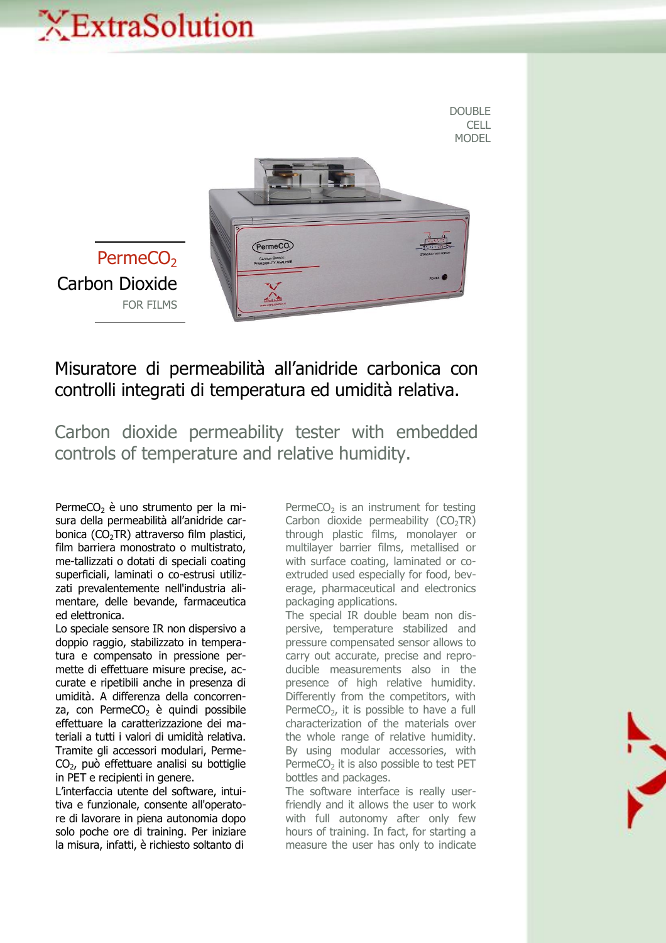## XExtraSolution



## Misuratore di permeabilità all'anidride carbonica con controlli integrati di temperatura ed umidità relativa.

Carbon dioxide permeability tester with embedded controls of temperature and relative humidity.

PermeCO<sub>2</sub> è uno strumento per la misura della permeabilità all'anidride carbonica  $(CO<sub>2</sub>TR)$  attraverso film plastici, film barriera monostrato o multistrato, me-tallizzati o dotati di speciali coating superficiali, laminati o co-estrusi utilizzati prevalentemente nell'industria alimentare, delle bevande, farmaceutica ed elettronica.

Lo speciale sensore IR non dispersivo a doppio raggio, stabilizzato in temperatura e compensato in pressione permette di effettuare misure precise, accurate e ripetibili anche in presenza di umidità. A differenza della concorrenza, con PermeCO<sub>2</sub> è quindi possibile effettuare la caratterizzazione dei materiali a tutti i valori di umidità relativa. Tramite gli accessori modulari, Perme-CO2, può effettuare analisi su bottiglie in PET e recipienti in genere.

L'interfaccia utente del software, intuitiva e funzionale, consente all'operatore di lavorare in piena autonomia dopo solo poche ore di training. Per iniziare la misura, infatti, è richiesto soltanto di

PermeCO<sub>2</sub> is an instrument for testing Carbon dioxide permeability  $(CO<sub>2</sub>TR)$ through plastic films, monolayer or multilayer barrier films, metallised or with surface coating, laminated or coextruded used especially for food, beverage, pharmaceutical and electronics packaging applications.

The special IR double beam non dispersive, temperature stabilized and pressure compensated sensor allows to carry out accurate, precise and reproducible measurements also in the presence of high relative humidity. Differently from the competitors, with PermeCO<sub>2</sub>, it is possible to have a full characterization of the materials over the whole range of relative humidity. By using modular accessories, with Perme $CO<sub>2</sub>$  it is also possible to test PET bottles and packages.

The software interface is really userfriendly and it allows the user to work with full autonomy after only few hours of training. In fact, for starting a measure the user has only to indicate